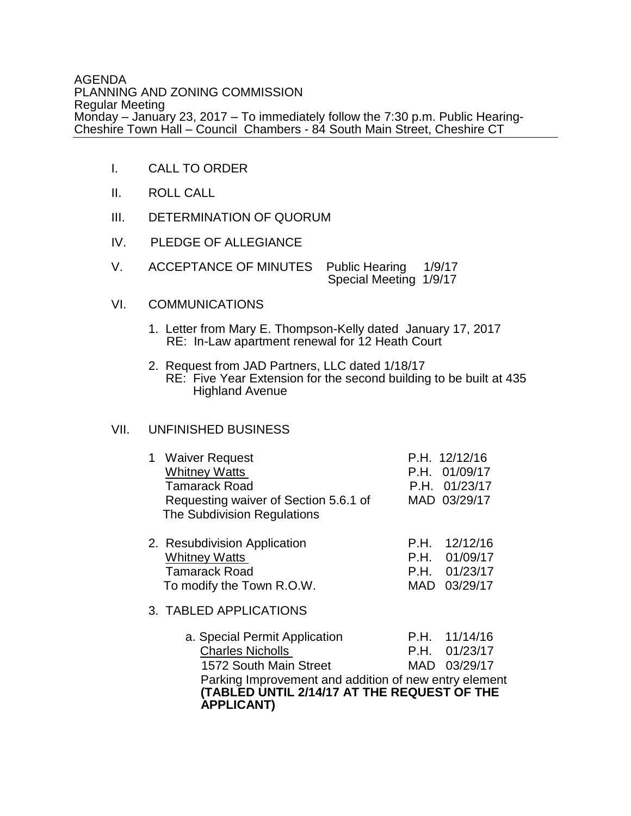AGENDA PLANNING AND ZONING COMMISSION Regular Meeting Monday – January 23, 2017 – To immediately follow the 7:30 p.m. Public Hearing-Cheshire Town Hall – Council Chambers - 84 South Main Street, Cheshire CT

- I. CALL TO ORDER
- II. ROLL CALL
- III. DETERMINATION OF QUORUM
- IV. PLEDGE OF ALLEGIANCE
- V. ACCEPTANCE OF MINUTES Public Hearing 1/9/17 Special Meeting 1/9/17

## VI. COMMUNICATIONS

- 1. Letter from Mary E. Thompson-Kelly dated January 17, 2017 RE: In-Law apartment renewal for 12 Heath Court
	- 2. Request from JAD Partners, LLC dated 1/18/17 RE: Five Year Extension for the second building to be built at 435 Highland Avenue

## VII. UNFINISHED BUSINESS

| 1 Waiver Request<br><b>Whitney Watts</b><br><b>Tamarack Road</b><br>Requesting waiver of Section 5.6.1 of<br>The Subdivision Regulations                                                                        |      | P.H. 12/12/16<br>P.H. 01/09/17<br>P.H. 01/23/17<br>MAD 03/29/17 |
|-----------------------------------------------------------------------------------------------------------------------------------------------------------------------------------------------------------------|------|-----------------------------------------------------------------|
| 2. Resubdivision Application<br><b>Whitney Watts</b><br><b>Tamarack Road</b><br>To modify the Town R.O.W.<br>3. TABLED APPLICATIONS                                                                             | P.H. | 12/12/16<br>P.H. 01/09/17<br>P.H. 01/23/17<br>MAD 03/29/17      |
| a. Special Permit Application<br><b>Charles Nicholls</b><br>1572 South Main Street<br>Parking Improvement and addition of new entry element<br>(TABLED UNTIL 2/14/17 AT THE REQUEST OF THE<br><b>APPLICANT)</b> |      | P.H. 11/14/16<br>$P.H.$ 01/23/17<br>MAD 03/29/17                |